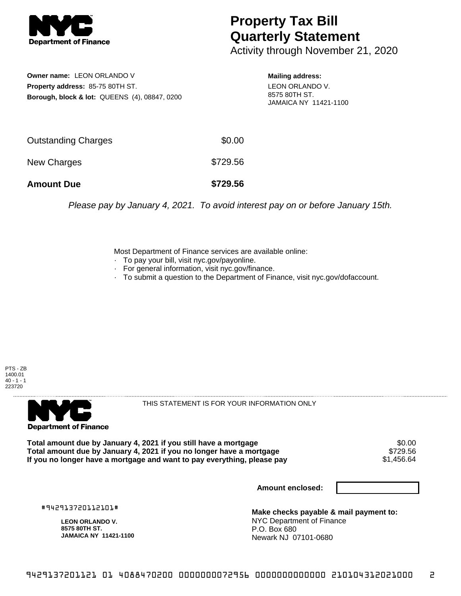

## **Property Tax Bill Quarterly Statement**

Activity through November 21, 2020

**Owner name:** LEON ORLANDO V **Property address:** 85-75 80TH ST. **Borough, block & lot:** QUEENS (4), 08847, 0200 **Mailing address:**

LEON ORLANDO V. 8575 80TH ST. JAMAICA NY 11421-1100

| <b>Amount Due</b>          | \$729.56 |
|----------------------------|----------|
| New Charges                | \$729.56 |
| <b>Outstanding Charges</b> | \$0.00   |

Please pay by January 4, 2021. To avoid interest pay on or before January 15th.

Most Department of Finance services are available online:

- · To pay your bill, visit nyc.gov/payonline.
- For general information, visit nyc.gov/finance.
- · To submit a question to the Department of Finance, visit nyc.gov/dofaccount.





THIS STATEMENT IS FOR YOUR INFORMATION ONLY

Total amount due by January 4, 2021 if you still have a mortgage \$0.00<br>Total amount due by January 4, 2021 if you no longer have a mortgage \$729.56 **Total amount due by January 4, 2021 if you no longer have a mortgage** \$729.56 If you no longer have a mortgage and want to pay everything, please pay

**Amount enclosed:**

#942913720112101#

**LEON ORLANDO V. 8575 80TH ST. JAMAICA NY 11421-1100**

**Make checks payable & mail payment to:** NYC Department of Finance P.O. Box 680 Newark NJ 07101-0680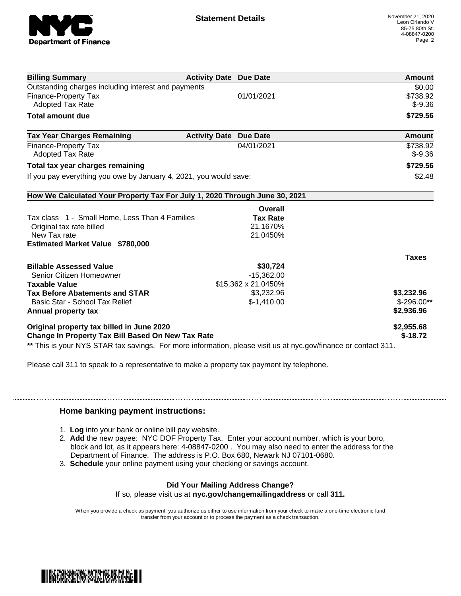

| <b>Activity Date Due Date</b>                                                                                  | Amount        |
|----------------------------------------------------------------------------------------------------------------|---------------|
|                                                                                                                | \$0.00        |
| 01/01/2021                                                                                                     | \$738.92      |
|                                                                                                                | $$-9.36$      |
|                                                                                                                | \$729.56      |
| <b>Activity Date</b><br><b>Due Date</b>                                                                        | <b>Amount</b> |
| 04/01/2021                                                                                                     | \$738.92      |
|                                                                                                                | $$-9.36$      |
|                                                                                                                | \$729.56      |
| If you pay everything you owe by January 4, 2021, you would save:                                              | \$2.48        |
| How We Calculated Your Property Tax For July 1, 2020 Through June 30, 2021                                     |               |
| Overall                                                                                                        |               |
| <b>Tax Rate</b>                                                                                                |               |
| 21.1670%                                                                                                       |               |
|                                                                                                                |               |
|                                                                                                                |               |
|                                                                                                                | <b>Taxes</b>  |
| \$30,724                                                                                                       |               |
| $-15,362.00$                                                                                                   |               |
| \$15,362 x 21.0450%                                                                                            |               |
| \$3,232.96                                                                                                     | \$3,232.96    |
| $$-1,410.00$                                                                                                   | $$-296.00**$  |
|                                                                                                                | \$2,936.96    |
|                                                                                                                | \$2,955.68    |
|                                                                                                                | $$-18.72$     |
| ** This is your NYS STAR tax savings. For more information, please visit us at nyc.gov/finance or contact 311. |               |
|                                                                                                                | 21.0450%      |

Please call 311 to speak to a representative to make a property tax payment by telephone.

## **Home banking payment instructions:**

- 1. **Log** into your bank or online bill pay website.
- 2. **Add** the new payee: NYC DOF Property Tax. Enter your account number, which is your boro, block and lot, as it appears here: 4-08847-0200 . You may also need to enter the address for the Department of Finance. The address is P.O. Box 680, Newark NJ 07101-0680.
- 3. **Schedule** your online payment using your checking or savings account.

## **Did Your Mailing Address Change?**

If so, please visit us at **nyc.gov/changemailingaddress** or call **311.**

When you provide a check as payment, you authorize us either to use information from your check to make a one-time electronic fund transfer from your account or to process the payment as a check transaction.